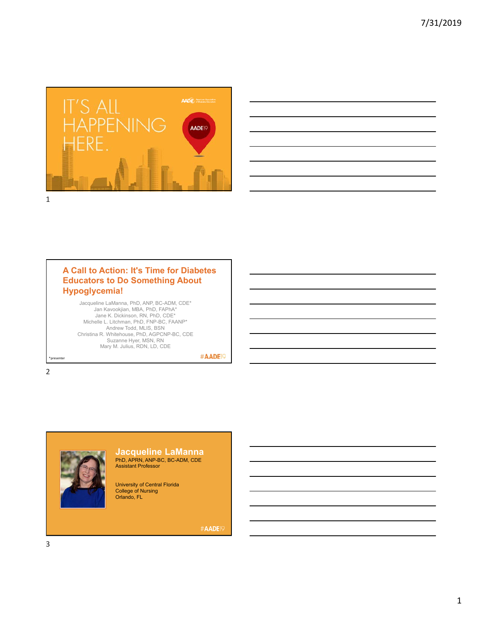



### **A Call to Action: It's Time for Diabetes Educators to Do Something About Hypoglycemia!**

Jacqueline LaManna, PhD, ANP, BC-ADM, CDE\* Jan Kavookjian, MBA, PhD, FAPhA\* Jane K. Dickinson, RN, PhD, CDE\* Michelle L. Litchman, PhD, FNP-BC, FAANP\* Andrew Todd, MLIS, BSN Christina R. Whitehouse, PhD, AGPCNP-BC, CDE Suzanne Hyer, MSN, RN Mary M. Julius, RDN, LD, CDE

#AADE<sup>19</sup>

2

\*presenter



# **Jacqueline LaManna** PhD, APRN, ANP-BC, BC-ADM, CDE Assistant Professor

University of Central Florida College of Nursing Orlando, FL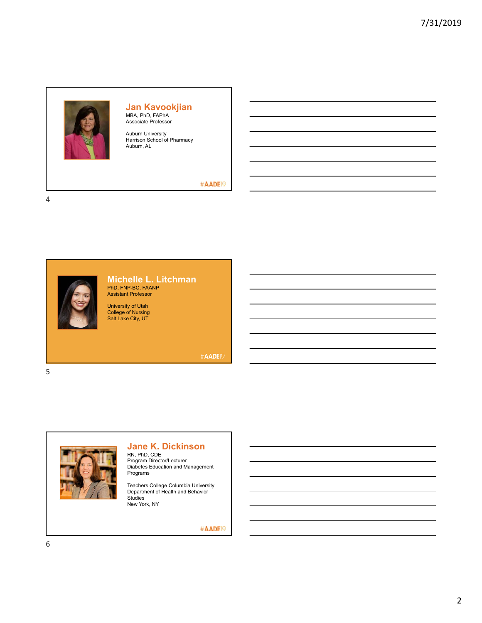

# **Jan Kavookjian** MBA, PhD, FAPhA Associate Professor

Auburn University Harrison School of Pharmacy Auburn, AL

#### #AADE<sup>19</sup>

4



# **Michelle L. Litchman** PhD, FNP-BC, FAANP Assistant Professor

University of Utah College of Nursing Salt Lake City, UT

#AADE19

5



# **Jane K. Dickinson**

RN, PhD, CDE Program Director/Lecturer Diabetes Education and Management Programs

Teachers College Columbia University Department of Health and Behavior **Studies** New York, NY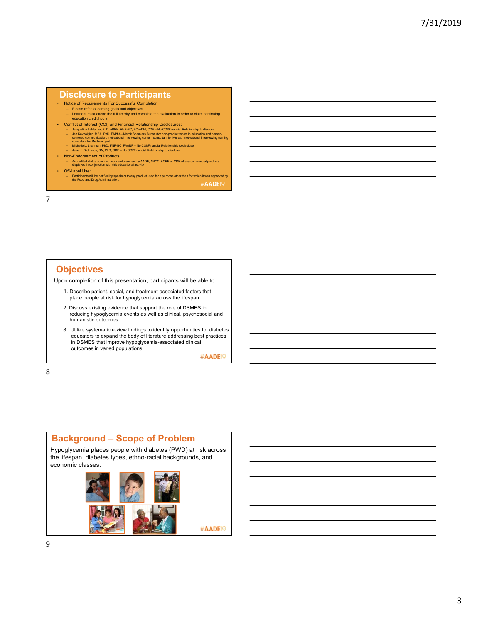#### **Disclosure to Participants**

- Notice of Requirements For Successful Completion
	- Please refer to learning goals and objectives Learners must attend the full activity and complete the evaluation in order to claim continuing education credit/hours
- Conflict of Interest (COI) and Financial Relationship Disclosures:
	- Jacqueline LaManna, PhD, APPN, ANP-BC, BC-ADM, CDE No CO/Financial Relationship to disclose<br>- Jan Kavookjian, MBA, PhD, FAPhA Merck Speakers Bureau for ron-product topics in education and person-<br>- centeral communic
	-
	-
- Non-Endorsement of Products:
	- Accredited status does not imply endorsement by AADE, ANCC, ACPE or CDR of any commercial products displayed in conjunction with this educational activity
- Off-Label Use:
- Participants will be notified by speakers to any product used for a purpose other than for which it was approved by the Food and Drug Administration. #AADE<sub>19</sub>

7

### **Objectives**

Upon completion of this presentation, participants will be able to

- 1. Describe patient, social, and treatment-associated factors that place people at risk for hypoglycemia across the lifespan
- 2. Discuss existing evidence that support the role of DSMES in reducing hypoglycemia events as well as clinical, psychosocial and humanistic outcomes.
- 3. Utilize systematic review findings to identify opportunities for diabetes educators to expand the body of literature addressing best practices in DSMES that improve hypoglycemia-associated clinical outcomes in varied populations.

#AADE<sup>19</sup>

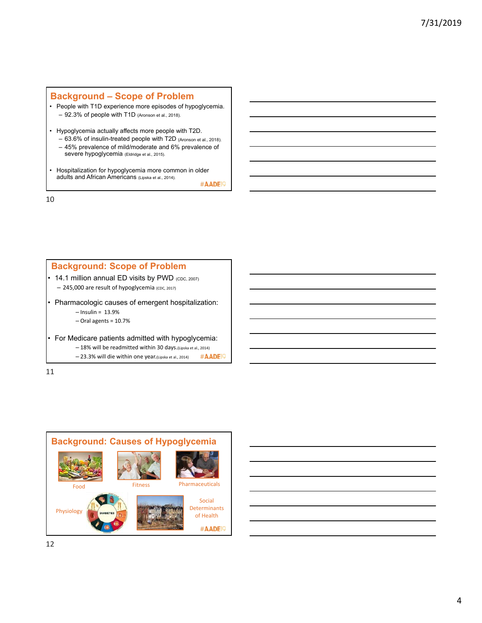## **Background – Scope of Problem**

- People with T1D experience more episodes of hypoglycemia. – 92.3% of people with T1D (Aronson et al., 2018).
- Hypoglycemia actually affects more people with T2D. – 63.6% of insulin-treated people with T2D (Aronson et al., 2018).
	- 45% prevalence of mild/moderate and 6% prevalence of severe hypoglycemia (Eldridge et al., 2015).
- Hospitalization for hypoglycemia more common in older adults and African Americans (Lipska et al., 2014).

#AADE<sup>19</sup>

| <b>Background: Scope of Problem</b>                           |  |  |  |  |  |  |
|---------------------------------------------------------------|--|--|--|--|--|--|
| 14.1 million annual ED visits by PWD (CDC, 2007)              |  |  |  |  |  |  |
| - 245,000 are result of hypoglycemia (CDC, 2017)              |  |  |  |  |  |  |
| Pharmacologic causes of emergent hospitalization:             |  |  |  |  |  |  |
| $-$ Insulin = 13.9%                                           |  |  |  |  |  |  |
| $-$ Oral agents = 10.7%                                       |  |  |  |  |  |  |
| For Medicare patients admitted with hypoglycemia:             |  |  |  |  |  |  |
| -18% will be readmitted within 30 days. (Lipska et al., 2014) |  |  |  |  |  |  |
| - 23.3% will die within one year.(Lipska et al., 2014)        |  |  |  |  |  |  |
|                                                               |  |  |  |  |  |  |



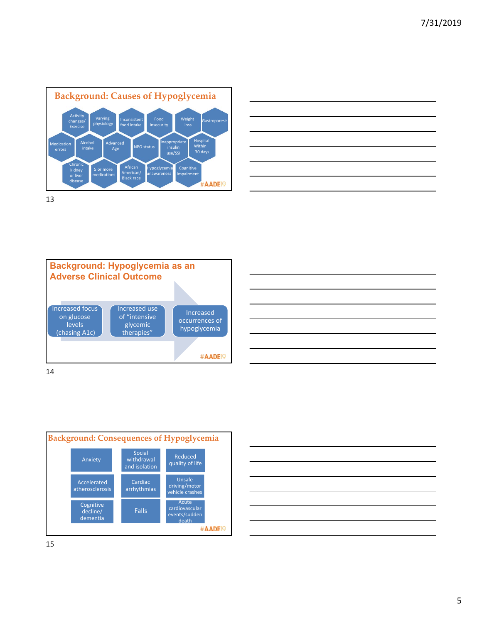

| ,我们也不会有一个人的事情。""我们的人们,我们也不会有一个人的人,我们也不会有一个人的人,我们也不会有一个人的人,我们也不会有一个人的人,我们也不会有一个人的<br>第一百一十一章 我们的人,我们的人们的人们,我们的人们的人们的人们,我们的人们的人们的人们,我们的人们的人们,我们的人们的人们,我们的人们的人们,我们的人们的人 |                                                                                                                      |  |  |
|----------------------------------------------------------------------------------------------------------------------------------------------------------------------|----------------------------------------------------------------------------------------------------------------------|--|--|
|                                                                                                                                                                      |                                                                                                                      |  |  |
|                                                                                                                                                                      |                                                                                                                      |  |  |
|                                                                                                                                                                      |                                                                                                                      |  |  |
|                                                                                                                                                                      | <u> 1989 - Andrea Santa Andrea Andrea Andrea Andrea Andrea Andrea Andrea Andrea Andrea Andrea Andrea Andrea Andr</u> |  |  |
|                                                                                                                                                                      |                                                                                                                      |  |  |





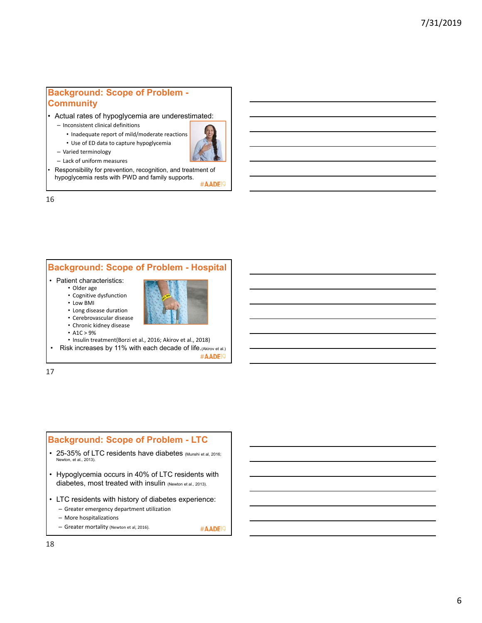### **Background: Scope of Problem - Community**

• Actual rates of hypoglycemia are underestimated:

– Inconsistent clinical definitions

– Varied terminology

• Inadequate report of mild/moderate reactions

• Use of ED data to capture hypoglycemia



- Lack of uniform measures
- Responsibility for prevention, recognition, and treatment of hypoglycemia rests with PWD and family supports.

#AADE<sup>19</sup>

16

# **Background: Scope of Problem - Hospital**

- Patient characteristics:
	- Older age
	- Cognitive dysfunction



- Long disease duration
- Cerebrovascular disease • Chronic kidney disease
- $A1C > 9%$
- 
- Insulin treatment(Borzi et al., 2016; Akirov et al., 2018) • Risk increases by 11% with each decade of life.(Akirov et al.)

#AADE<sup>19</sup>

17

#### **Background: Scope of Problem - LTC**

- 25-35% of LTC residents have diabetes (Munshi et al, 2016; Newton, et al., 2013).
- Hypoglycemia occurs in 40% of LTC residents with diabetes, most treated with insulin (Newton et al., 2013).
- LTC residents with history of diabetes experience:
	- Greater emergency department utilization
	- More hospitalizations
	- Greater mortality (Newton et al, 2016). #AADE<sup>19</sup>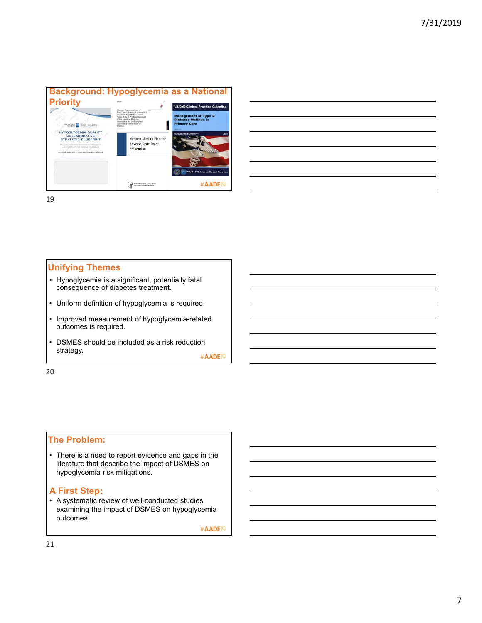

| <u> 1988 - Johann Stoff, deutscher Stoffen und der Stoffen und der Stoffen und der Stoffen und der Stoffen und der</u>                                                                                                        |  | <b>Service Contractor</b> |
|-------------------------------------------------------------------------------------------------------------------------------------------------------------------------------------------------------------------------------|--|---------------------------|
|                                                                                                                                                                                                                               |  |                           |
|                                                                                                                                                                                                                               |  |                           |
|                                                                                                                                                                                                                               |  |                           |
| the control of the control of the control of the control of the control of the control of the control of the control of the control of the control of the control of the control of the control of the control of the control |  |                           |
|                                                                                                                                                                                                                               |  |                           |
|                                                                                                                                                                                                                               |  |                           |

19

#### **Unifying Themes**

- Hypoglycemia is a significant, potentially fatal consequence of diabetes treatment.
- Uniform definition of hypoglycemia is required.
- Improved measurement of hypoglycemia-related outcomes is required.
- DSMES should be included as a risk reduction strategy.

#AADE<sup>19</sup>

20

#### **The Problem:**

• There is a need to report evidence and gaps in the literature that describe the impact of DSMES on hypoglycemia risk mitigations.

#### **A First Step:**

• A systematic review of well-conducted studies examining the impact of DSMES on hypoglycemia outcomes.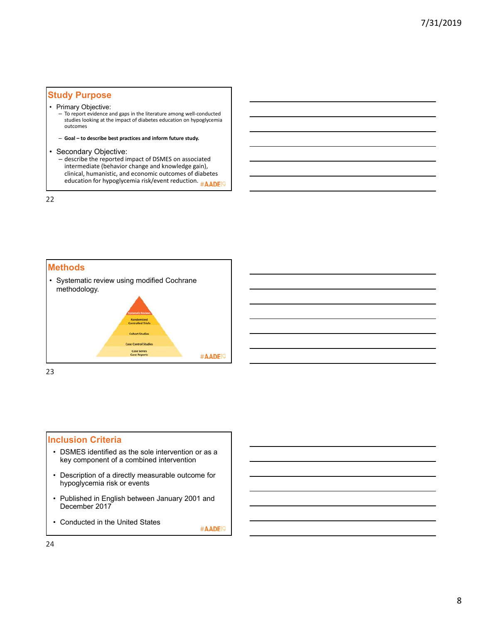### **Study Purpose**

#### • Primary Objective:

- To report evidence and gaps in the literature among well‐conducted studies looking at the impact of diabetes education on hypoglycemia outcomes
- **Goal to describe best practices and inform future study.**

#### • Secondary Objective:

– describe the reported impact of DSMES on associated intermediate (behavior change and knowledge gain), clinical, humanistic, and economic outcomes of diabetes education for hypoglycemia risk/event reduction. #AADEP

22



23

#### **Inclusion Criteria**

- DSMES identified as the sole intervention or as a key component of a combined intervention
- Description of a directly measurable outcome for hypoglycemia risk or events
- Published in English between January 2001 and December 2017
- Conducted in the United States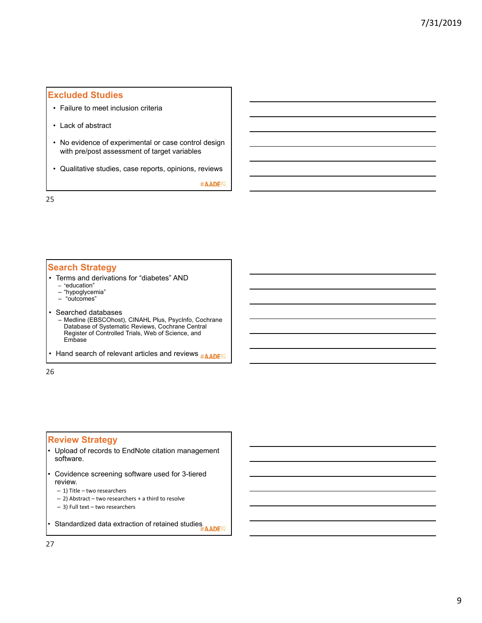# **Excluded Studies**

- Failure to meet inclusion criteria
- Lack of abstract
- No evidence of experimental or case control design with pre/post assessment of target variables
- Qualitative studies, case reports, opinions, reviews

#AADE<sup>19</sup>

25

#### **Search Strategy**

- Terms and derivations for "diabetes" AND – "education"
	-
	- "hypoglycemia" – "outcomes"
	-
- Searched databases – Medline (EBSCOhost), CINAHL Plus, PsycInfo, Cochrane Database of Systematic Reviews, Cochrane Central Register of Controlled Trials, Web of Science, and Embase
- Hand search of relevant articles and reviews **#AADE**

26

## **Review Strategy**

- Upload of records to EndNote citation management software.
- Covidence screening software used for 3-tiered review.
	- 1) Title two researchers
	- 2) Abstract two researchers + a third to resolve
	- 3) Full text two researchers

• Standardized data extraction of retained studies<br>#AADEI9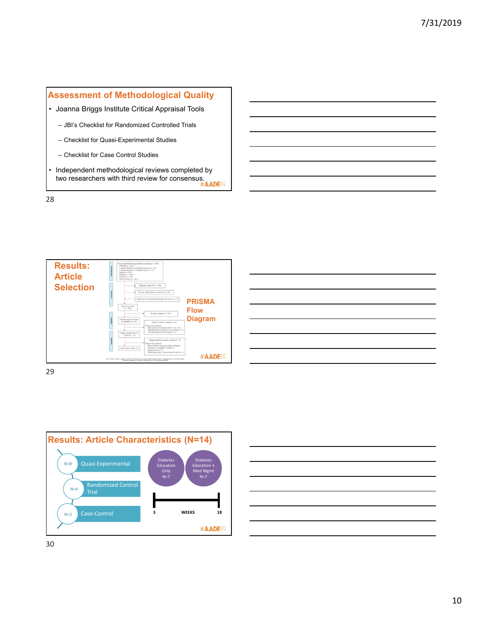

• Independent methodological reviews completed by Independent meanodological consensus.<br>two researchers with third review for consensus.<br>#AADEP#

28







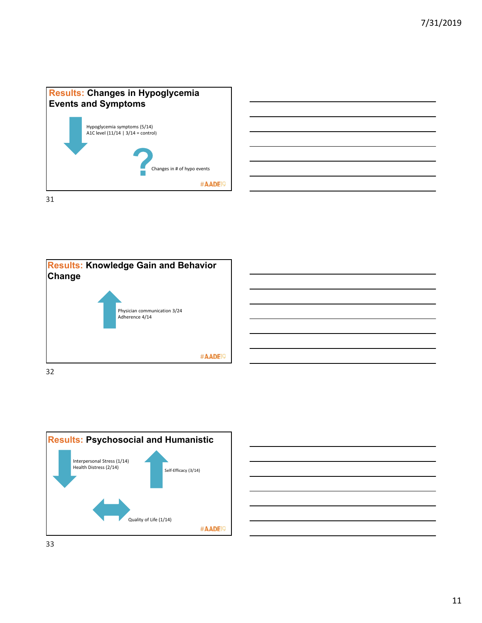







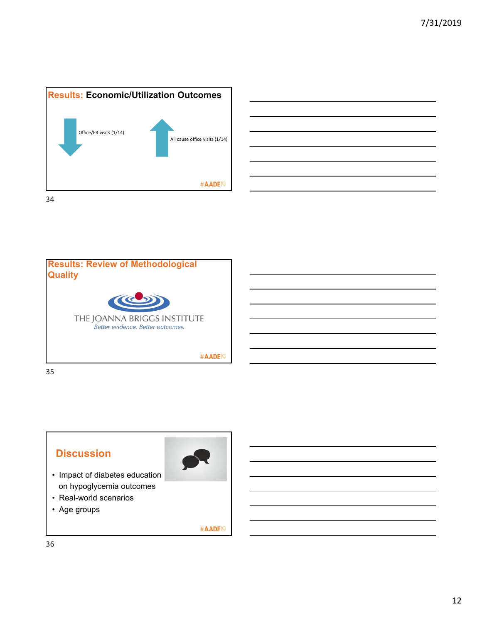





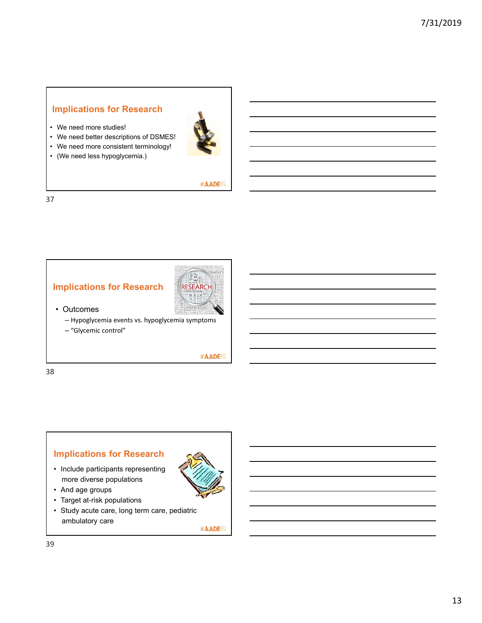# **Implications for Research**

- We need more studies!
- We need better descriptions of DSMES!



• (We need less hypoglycemia.)



#### #AADE<sup>19</sup>

37





• Outcomes

– Hypoglycemia events vs. hypoglycemia symptoms

– "Glycemic control"

#AADE<sup>19</sup>

38

# **Implications for Research**

- Include participants representing more diverse populations
- And age groups
- Target at-risk populations
- Study acute care, long term care, pediatric ambulatory care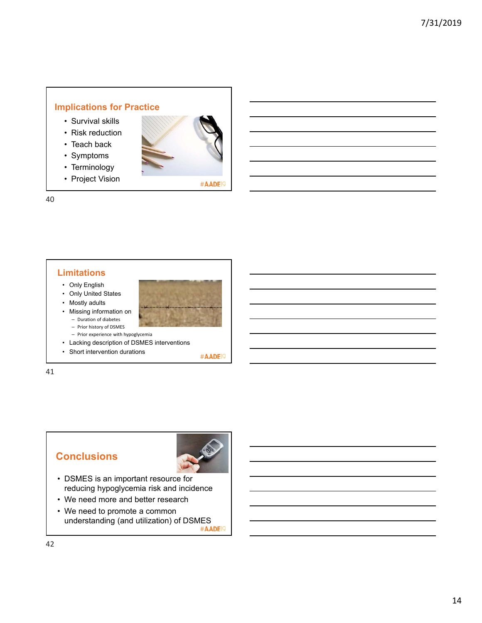# **Implications for Practice**

- Survival skills
- Risk reduction
- Teach back
- Symptoms
- Terminology
- Project Vision



#AADE<sup>19</sup>

40

### **Limitations**

- Only English
- Only United States
- Mostly adults
- Missing information on – Duration of diabetes



- Prior experience with hypoglycemia
- Lacking description of DSMES interventions
- Short intervention durations

#AADE<sup>19</sup>

41

# **Conclusions**



- DSMES is an important resource for reducing hypoglycemia risk and incidence
- We need more and better research
- We need to promote a common understanding (and utilization) of DSMES<br>#AADEI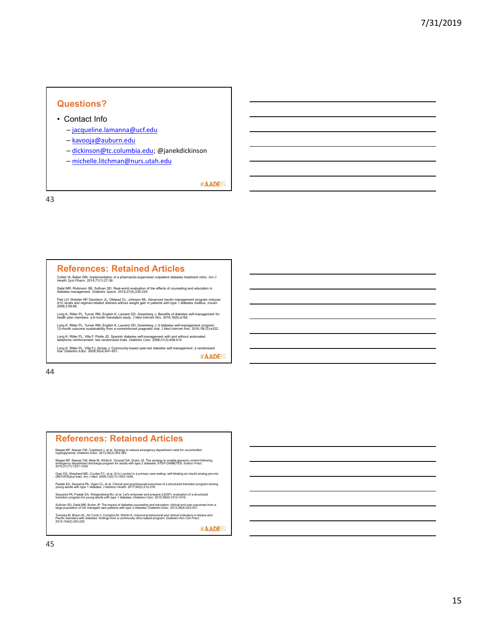#### **Questions?**

- Contact Info
	- jacqueline.lamanna@ucf.edu
	- kavooja@auburn.edu
	- dickinson@tc.columbia.edu; @janekdickinson
	- michelle.litchman@nurs.utah.edu

#AADE<sup>19</sup>

43

#### **References: Retained Articles**

Collier IA, Baker DM. Implementation of a pharmacist-supervised outpatient diabetes treatment clinic. *Am J Health Syst Pharm*. 2014;71(1):27-36.

Dalal MR, Robinson SB, Sullivan SD. Real-world evaluation of the effects of counseling and education in diabetes management. *Diabetes Spectr*. 2014;27(4):235-243.

Fish LH, Wetzler HP, Davidson JL, Ofstead CL, Johnson ML. Advanced insulin management program reduces<br>A1C levels and regimen-related distress without weight gain in patients with type 1 diabetes mellitus. *Insulin.*<br>2008;3

Lorig K, Ritter PL, Turner RM, English K, Laurent DD, Greenberg J. Benefits of diabetes self-management for health plan members: a 6-month translation study. *J Med Internet Res*. 2016;18(6):e164.

Lorig K, Ritter PL, Turner RM, English K, Laurent DD, Greenberg J. A diabetes self-management program: 12-month outcome sustainability from a nonreinforced pragmatic trial. *J Med Internet Res*. 2016;18(12):e322.

Lorig K, Ritter PL, Villa F, Piette JD. Spanish diabetes self-management with and without automated<br>telephone reinforcement: two randomized trials. *Diabetes Care*. 2008;31(3):408-414

.<br>Lorig K, Ritter PL, Villa FJ, Armas J. Community-based peer-led diabetes self-management: a randomized<br>trial. *Diabetes Educ*. 2009;35(4):641-651.

44

#### **References: Retained Articles**

Magee MF, Nassar CM, Copeland J, et al. Synergy to reduce emergency department visits for uncontrolled hyperglycemia. *Diabetes Educ*. 2013;39(3):354-364.

Magee MF, Nassar CM, Mete M, White K, Youssef GA, Dubin JS. The synergy to enable glycemic control following<br>emergency department discharge program for adults with type 2 diabetes: STEP-DIABETES. *Endocr Pract.*<br>2015;21(11

Oyer DS, Shepherd MD, Coulter FC, et al. A(1c) control in a primary care setting: self-titrating an insulin analog pre-mix (INITIATEplus trial). *Am J Med*. 2009;122(11):1043-1049.

Pyatak EA, Sequeira PA, Vigen CL, et al. Clinical and psychosocial outcomes of a structured transition program among<br>young adults with type 1 diabetes. *J Adolesc Health.* 2017:60(2):212-218.

Sequeira PA, Pyatak EA, Weigensberg MJ, et al. Let's empower and prepare (LEAP): evaluation of a structured<br>transition program for young adults with type 1 diabetes. *Diabetes Care*. 2015;38(8):1412-1419.

Sullivan SD, Dalal MR, Burke JP. The impact of diabetes counseling and education: clinical and cost outcomes from a large population of US managed care patients with type 2 diabetes. *Diabetes Educ*. 2013;39(4):523-531.

Tomioka M, Braun KL, Ah Cook V, Compton M, Wertin K. Improving behavioral and clinical indicators in Asians and<br>Pacific Islanders with diabetes: findings from a community clinic-based program. Diabetes Res Clin Pract.<br>2014